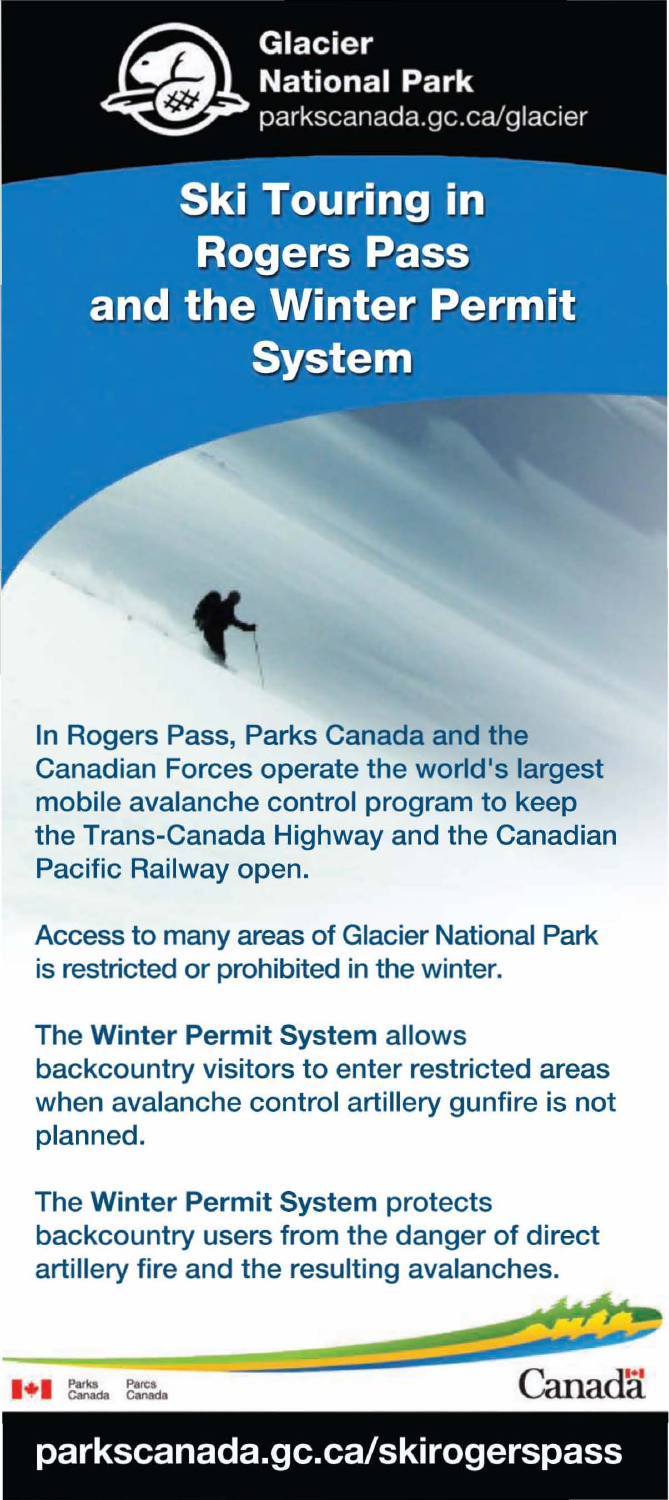

# **Ski Touring in Rogers Pass** and the Winter Permit **System**

In Rogers Pass, Parks Canada and the Canadian Forces operate the world's largest mobile avalanche control program to keep the Trans-Canada Highway and the Canadian Pacific Railway open.

Access to many areas of Glacier National Park is restricted or prohibited in the winter.

The Winter Permit System allows backcountry visitors to enter restricted areas when avalanche control artillery gunfire is not planned.

The Winter Permit System protects backcountry users from the danger of direct artillery fire and the resulting avalanches.

Parcs<br>Canada ы

Canada

## **parkscanada.gc.ca/skirogerspass**